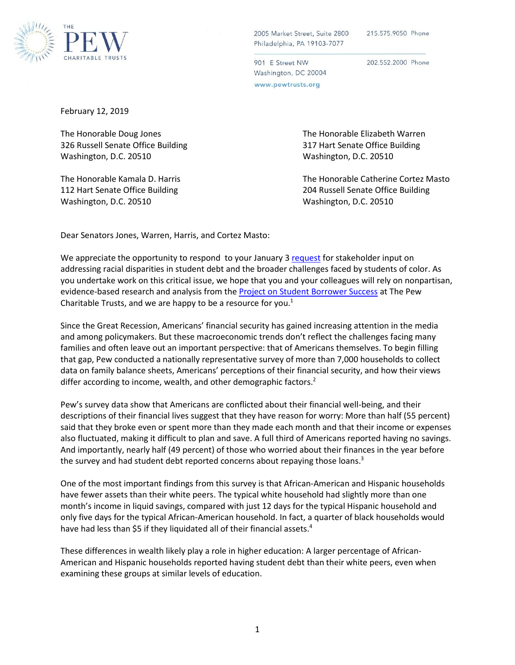

215.575.9050 Phone

901 E Street NW Washington, DC 20004 www.pewtrusts.org

202.552.2000 Phone

February 12, 2019

326 Russell Senate Office Building 317 Hart Senate Office Building Washington, D.C. 20510 Washington, D.C. 20510

Washington, D.C. 20510 Washington, D.C. 20510

The Honorable Doug Jones The Honorable Elizabeth Warren

The Honorable Kamala D. Harris The Honorable Catherine Cortez Masto 112 Hart Senate Office Building 204 Russell Senate Office Building

Dear Senators Jones, Warren, Harris, and Cortez Masto:

We appreciate the opportunity to respond to your January 3 [request](https://www.warren.senate.gov/imo/media/doc/Borrowers%20of%20Color%20Letter%20Jan%202019.pdf) for stakeholder input on addressing racial disparities in student debt and the broader challenges faced by students of color. As you undertake work on this critical issue, we hope that you and your colleagues will rely on nonpartisan, evidence-based research and analysis from the [Project on Student Borrower Success](https://www.pewtrusts.org/en/projects/student-borrower-success) at The Pew Charitable Trusts, and we are happy to be a resource for you. $<sup>1</sup>$ </sup>

Since the Great Recession, Americans' financial security has gained increasing attention in the media and among policymakers. But these macroeconomic trends don't reflect the challenges facing many families and often leave out an important perspective: that of Americans themselves. To begin filling that gap, Pew conducted a nationally representative survey of more than 7,000 households to collect data on family balance sheets, Americans' perceptions of their financial security, and how their views differ according to income, wealth, and other demographic factors.<sup>2</sup>

Pew's survey data show that Americans are conflicted about their financial well-being, and their descriptions of their financial lives suggest that they have reason for worry: More than half (55 percent) said that they broke even or spent more than they made each month and that their income or expenses also fluctuated, making it difficult to plan and save. A full third of Americans reported having no savings. And importantly, nearly half (49 percent) of those who worried about their finances in the year before the survey and had student debt reported concerns about repaying those loans.<sup>3</sup>

One of the most important findings from this survey is that African-American and Hispanic households have fewer assets than their white peers. The typical white household had slightly more than one month's income in liquid savings, compared with just 12 days for the typical Hispanic household and only five days for the typical African-American household. In fact, a quarter of black households would have had less than \$5 if they liquidated all of their financial assets.<sup>4</sup>

These differences in wealth likely play a role in higher education: A larger percentage of African-American and Hispanic households reported having student debt than their white peers, even when examining these groups at similar levels of education.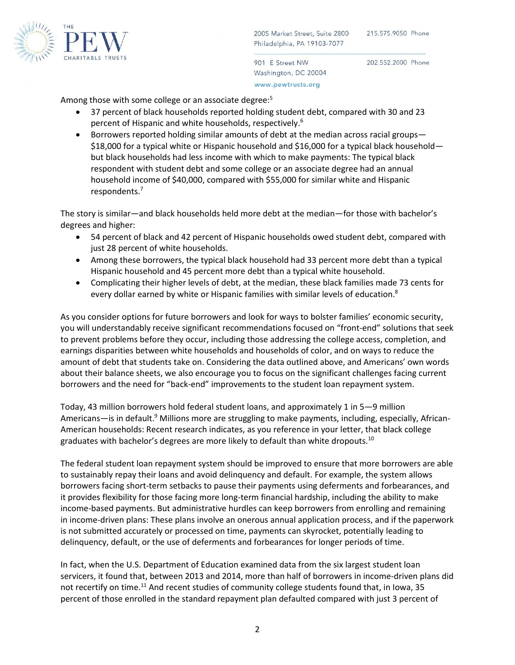

901 E Street NW Washington, DC 20004 www.pewtrusts.org

202.552.2000 Phone

Among those with some college or an associate degree:<sup>5</sup>

- 37 percent of black households reported holding student debt, compared with 30 and 23 percent of Hispanic and white households, respectively.<sup>6</sup>
- Borrowers reported holding similar amounts of debt at the median across racial groups— \$18,000 for a typical white or Hispanic household and \$16,000 for a typical black household but black households had less income with which to make payments: The typical black respondent with student debt and some college or an associate degree had an annual household income of \$40,000, compared with \$55,000 for similar white and Hispanic respondents.<sup>7</sup>

The story is similar—and black households held more debt at the median—for those with bachelor's degrees and higher:

- 54 percent of black and 42 percent of Hispanic households owed student debt, compared with just 28 percent of white households.
- Among these borrowers, the typical black household had 33 percent more debt than a typical Hispanic household and 45 percent more debt than a typical white household.
- Complicating their higher levels of debt, at the median, these black families made 73 cents for every dollar earned by white or Hispanic families with similar levels of education.<sup>8</sup>

As you consider options for future borrowers and look for ways to bolster families' economic security, you will understandably receive significant recommendations focused on "front-end" solutions that seek to prevent problems before they occur, including those addressing the college access, completion, and earnings disparities between white households and households of color, and on ways to reduce the amount of debt that students take on. Considering the data outlined above, and Americans' own words about their balance sheets, we also encourage you to focus on the significant challenges facing current borrowers and the need for "back-end" improvements to the student loan repayment system.

Today, 43 million borrowers hold federal student loans, and approximately 1 in 5—9 million Americans—is in default.<sup>9</sup> Millions more are struggling to make payments, including, especially, African-American households: Recent research indicates, as you reference in your letter, that black college graduates with bachelor's degrees are more likely to default than white dropouts.<sup>10</sup>

The federal student loan repayment system should be improved to ensure that more borrowers are able to sustainably repay their loans and avoid delinquency and default. For example, the system allows borrowers facing short-term setbacks to pause their payments using deferments and forbearances, and it provides flexibility for those facing more long-term financial hardship, including the ability to make income-based payments. But administrative hurdles can keep borrowers from enrolling and remaining in income-driven plans: These plans involve an onerous annual application process, and if the paperwork is not submitted accurately or processed on time, payments can skyrocket, potentially leading to delinquency, default, or the use of deferments and forbearances for longer periods of time.

In fact, when the U.S. Department of Education examined data from the six largest student loan servicers, it found that, between 2013 and 2014, more than half of borrowers in income-driven plans did not recertify on time.<sup>11</sup> And recent studies of community college students found that, in Iowa, 35 percent of those enrolled in the standard repayment plan defaulted compared with just 3 percent of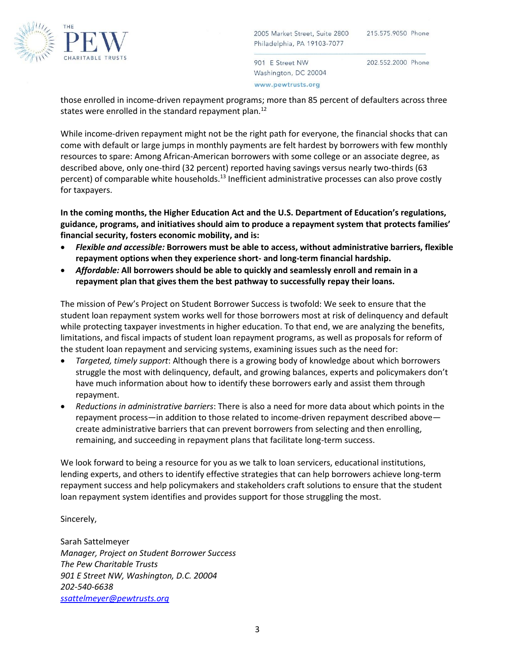

901 E Street NW Washington, DC 20004 www.pewtrusts.org

202.552.2000 Phone

those enrolled in income-driven repayment programs; more than 85 percent of defaulters across three states were enrolled in the standard repayment plan.<sup>12</sup>

While income-driven repayment might not be the right path for everyone, the financial shocks that can come with default or large jumps in monthly payments are felt hardest by borrowers with few monthly resources to spare: Among African-American borrowers with some college or an associate degree, as described above, only one-third (32 percent) reported having savings versus nearly two-thirds (63 percent) of comparable white households.<sup>13</sup> Inefficient administrative processes can also prove costly for taxpayers.

**In the coming months, the Higher Education Act and the U.S. Department of Education's regulations, guidance, programs, and initiatives should aim to produce a repayment system that protects families' financial security, fosters economic mobility, and is:**

- *Flexible and accessible:* **Borrowers must be able to access, without administrative barriers, flexible repayment options when they experience short- and long-term financial hardship.**
- *Affordable:* **All borrowers should be able to quickly and seamlessly enroll and remain in a repayment plan that gives them the best pathway to successfully repay their loans.**

The mission of Pew's Project on Student Borrower Success is twofold: We seek to ensure that the student loan repayment system works well for those borrowers most at risk of delinquency and default while protecting taxpayer investments in higher education. To that end, we are analyzing the benefits, limitations, and fiscal impacts of student loan repayment programs, as well as proposals for reform of the student loan repayment and servicing systems, examining issues such as the need for:

- *Targeted, timely support*: Although there is a growing body of knowledge about which borrowers struggle the most with delinquency, default, and growing balances, experts and policymakers don't have much information about how to identify these borrowers early and assist them through repayment.
- *Reductions in administrative barriers*: There is also a need for more data about which points in the repayment process—in addition to those related to income-driven repayment described above create administrative barriers that can prevent borrowers from selecting and then enrolling, remaining, and succeeding in repayment plans that facilitate long-term success.

We look forward to being a resource for you as we talk to loan servicers, educational institutions, lending experts, and others to identify effective strategies that can help borrowers achieve long-term repayment success and help policymakers and stakeholders craft solutions to ensure that the student loan repayment system identifies and provides support for those struggling the most.

Sincerely,

Sarah Sattelmeyer *Manager, Project on Student Borrower Success The Pew Charitable Trusts 901 E Street NW, Washington, D.C. 20004 202-540-6638 [ssattelmeyer@pewtrusts.org](mailto:ssattelmeyer@pewtrusts.org)*